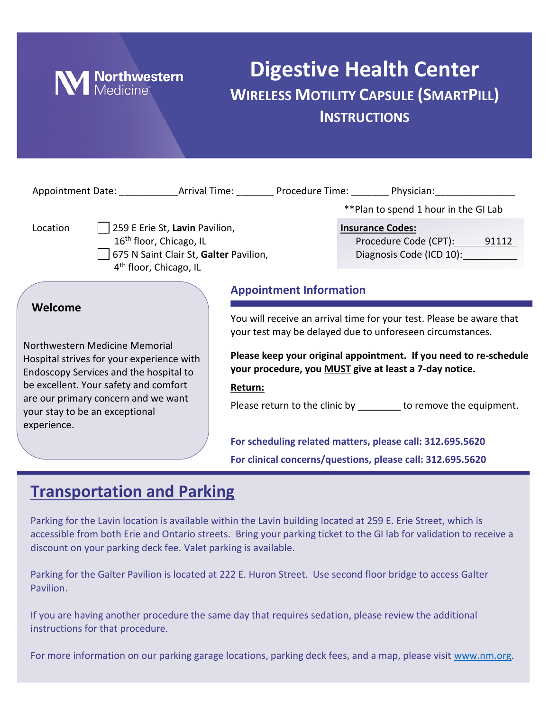

# **Digestive Health Center WIRELESS MOTILITY CAPSULE (SMARTPILL) INSTRUCTIONS**

| Appointment Date: Arrival Time: Procedure Time: Physician: Physician:                                                                                                                                                                                             |                |                                                                                                                                                                                                                                                                                                                                                |                         |                                                         |  |  |
|-------------------------------------------------------------------------------------------------------------------------------------------------------------------------------------------------------------------------------------------------------------------|----------------|------------------------------------------------------------------------------------------------------------------------------------------------------------------------------------------------------------------------------------------------------------------------------------------------------------------------------------------------|-------------------------|---------------------------------------------------------|--|--|
|                                                                                                                                                                                                                                                                   |                |                                                                                                                                                                                                                                                                                                                                                |                         | **Plan to spend 1 hour in the GI Lab                    |  |  |
| 259 E Erie St, Lavin Pavilion,<br>Location<br>16 <sup>th</sup> floor, Chicago, IL<br>675 N Saint Clair St, Galter Pavilion,<br>4 <sup>th</sup> floor, Chicago, IL                                                                                                 |                |                                                                                                                                                                                                                                                                                                                                                | <b>Insurance Codes:</b> | Procedure Code (CPT): 91112<br>Diagnosis Code (ICD 10): |  |  |
|                                                                                                                                                                                                                                                                   |                | <b>Appointment Information</b>                                                                                                                                                                                                                                                                                                                 |                         |                                                         |  |  |
| Welcome<br>Northwestern Medicine Memorial<br>Hospital strives for your experience with<br>Endoscopy Services and the hospital to<br>be excellent. Your safety and comfort<br>are our primary concern and we want<br>your stay to be an exceptional<br>experience. |                | You will receive an arrival time for your test. Please be aware that<br>your test may be delayed due to unforeseen circumstances.<br>Please keep your original appointment. If you need to re-schedule<br>your procedure, you MUST give at least a 7-day notice.<br>Return:<br>Please return to the clinic by _______ to remove the equipment. |                         |                                                         |  |  |
|                                                                                                                                                                                                                                                                   |                | For scheduling related matters, please call: 312.695.5620<br>For clinical concerns/questions, please call: 312.695.5620                                                                                                                                                                                                                        |                         |                                                         |  |  |
|                                                                                                                                                                                                                                                                   | $\blacksquare$ |                                                                                                                                                                                                                                                                                                                                                |                         |                                                         |  |  |

## **Transportation and Parking**

Parking for the Lavin location is available within the Lavin building located at 259 E. Erie Street, which is accessible from both Erie and Ontario streets. Bring your parking ticket to the GI lab for validation to receive a discount on your parking deck fee. Valet parking is available.

Parking for the Galter Pavilion is located at 222 E. Huron Street. Use second floor bridge to access Galter Pavilion.

If you are having another procedure the same day that requires sedation, please review the additional instructions for that procedure.

For more information on our parking garage locations, parking deck fees, and a map, please visit [www.nm.org.](http://www.nm.org/)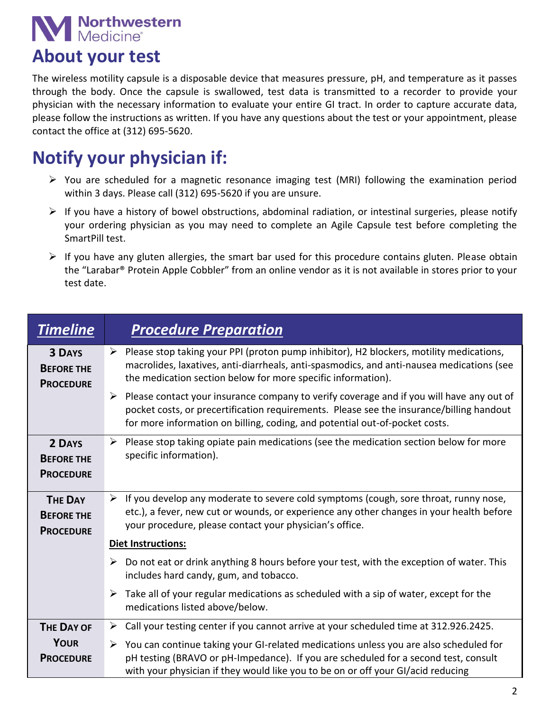# **N** Northwestern

## **About your test**

The wireless motility capsule is a disposable device that measures pressure, pH, and temperature as it passes through the body. Once the capsule is swallowed, test data is transmitted to a recorder to provide your physician with the necessary information to evaluate your entire GI tract. In order to capture accurate data, please follow the instructions as written. If you have any questions about the test or your appointment, please contact the office at (312) 695-5620.

# **Notify your physician if:**

- You are scheduled for a magnetic resonance imaging test (MRI) following the examination period within 3 days. Please call (312) 695-5620 if you are unsure.
- $\triangleright$  If you have a history of bowel obstructions, abdominal radiation, or intestinal surgeries, please notify your ordering physician as you may need to complete an Agile Capsule test before completing the SmartPill test.
- $\triangleright$  If you have any gluten allergies, the smart bar used for this procedure contains gluten. Please obtain the "Larabar® Protein Apple Cobbler" from an online vendor as it is not available in stores prior to your test date.

| <b>Timeline</b>                                         | <b>Procedure Preparation</b>                                                                                                                                                                                                                                                         |  |  |  |
|---------------------------------------------------------|--------------------------------------------------------------------------------------------------------------------------------------------------------------------------------------------------------------------------------------------------------------------------------------|--|--|--|
| <b>3 DAYS</b><br><b>BEFORE THE</b><br><b>PROCEDURE</b>  | $\triangleright$ Please stop taking your PPI (proton pump inhibitor), H2 blockers, motility medications,<br>macrolides, laxatives, anti-diarrheals, anti-spasmodics, and anti-nausea medications (see<br>the medication section below for more specific information).                |  |  |  |
|                                                         | $\triangleright$ Please contact your insurance company to verify coverage and if you will have any out of<br>pocket costs, or precertification requirements. Please see the insurance/billing handout<br>for more information on billing, coding, and potential out-of-pocket costs. |  |  |  |
| 2 DAYS<br><b>BEFORE THE</b><br><b>PROCEDURE</b>         | Please stop taking opiate pain medications (see the medication section below for more<br>➤<br>specific information).                                                                                                                                                                 |  |  |  |
| <b>THE DAY</b><br><b>BEFORE THE</b><br><b>PROCEDURE</b> | $\triangleright$ If you develop any moderate to severe cold symptoms (cough, sore throat, runny nose,<br>etc.), a fever, new cut or wounds, or experience any other changes in your health before<br>your procedure, please contact your physician's office.                         |  |  |  |
|                                                         | <b>Diet Instructions:</b>                                                                                                                                                                                                                                                            |  |  |  |
|                                                         | Do not eat or drink anything 8 hours before your test, with the exception of water. This<br>➤<br>includes hard candy, gum, and tobacco.                                                                                                                                              |  |  |  |
|                                                         | $\triangleright$ Take all of your regular medications as scheduled with a sip of water, except for the<br>medications listed above/below.                                                                                                                                            |  |  |  |
| <b>THE DAY OF</b>                                       | Call your testing center if you cannot arrive at your scheduled time at 312.926.2425.<br>➤                                                                                                                                                                                           |  |  |  |
| <b>YOUR</b><br><b>PROCEDURE</b>                         | $\triangleright$ You can continue taking your GI-related medications unless you are also scheduled for<br>pH testing (BRAVO or pH-Impedance). If you are scheduled for a second test, consult<br>with your physician if they would like you to be on or off your GI/acid reducing    |  |  |  |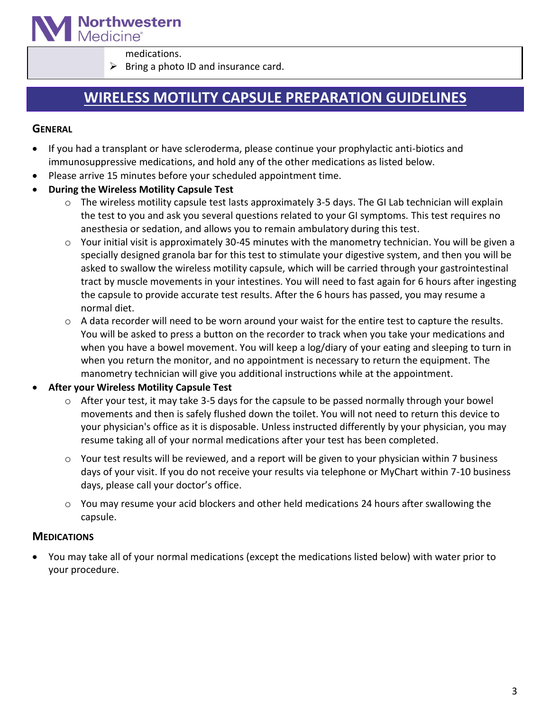

medications.

 $\triangleright$  Bring a photo ID and insurance card.

### **WIRELESS MOTILITY CAPSULE PREPARATION GUIDELINES**

#### **GENERAL**

- If you had a transplant or have scleroderma, please continue your prophylactic anti-biotics and immunosuppressive medications, and hold any of the other medications as listed below.
- Please arrive 15 minutes before your scheduled appointment time.
- **During the Wireless Motility Capsule Test**
	- o The wireless motility capsule test lasts approximately 3-5 days. The GI Lab technician will explain the test to you and ask you several questions related to your GI symptoms. This test requires no anesthesia or sedation, and allows you to remain ambulatory during this test.
	- o Your initial visit is approximately 30-45 minutes with the manometry technician. You will be given a specially designed granola bar for this test to stimulate your digestive system, and then you will be asked to swallow the wireless motility capsule, which will be carried through your gastrointestinal tract by muscle movements in your intestines. You will need to fast again for 6 hours after ingesting the capsule to provide accurate test results. After the 6 hours has passed, you may resume a normal diet.
	- o A data recorder will need to be worn around your waist for the entire test to capture the results. You will be asked to press a button on the recorder to track when you take your medications and when you have a bowel movement. You will keep a log/diary of your eating and sleeping to turn in when you return the monitor, and no appointment is necessary to return the equipment. The manometry technician will give you additional instructions while at the appointment.

#### **After your Wireless Motility Capsule Test**

- o After your test, it may take 3-5 days for the capsule to be passed normally through your bowel movements and then is safely flushed down the toilet. You will not need to return this device to your physician's office as it is disposable. Unless instructed differently by your physician, you may resume taking all of your normal medications after your test has been completed.
- o Your test results will be reviewed, and a report will be given to your physician within 7 business days of your visit. If you do not receive your results via telephone or MyChart within 7-10 business days, please call your doctor's office.
- o You may resume your acid blockers and other held medications 24 hours after swallowing the capsule.

#### **MEDICATIONS**

 You may take all of your normal medications (except the medications listed below) with water prior to your procedure.